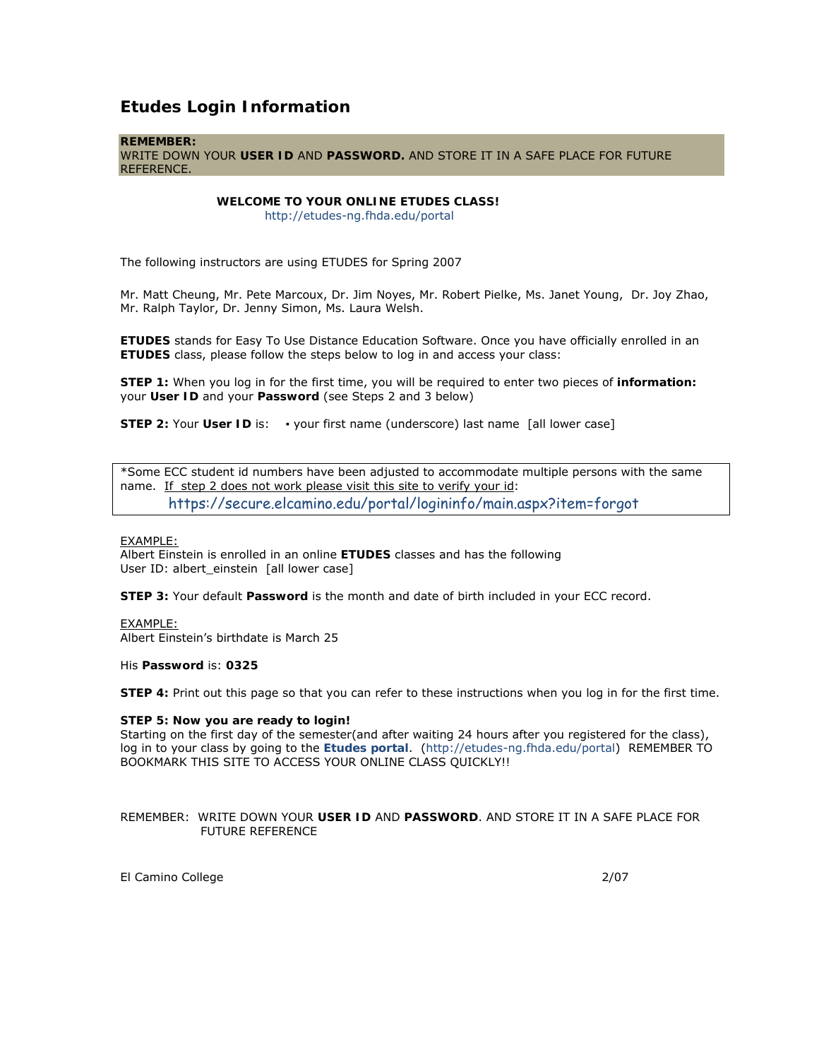## **Etudes Login Information**

#### **REMEMBER:**

WRITE DOWN YOUR **USER ID** AND **PASSWORD.** AND STORE IT IN A SAFE PLACE FOR FUTURE REFERENCE.

### **WELCOME TO YOUR ONLINE ETUDES CLASS!**

http://etudes-ng.fhda.edu/portal

The following instructors are using ETUDES for Spring 2007

Mr. Matt Cheung, Mr. Pete Marcoux, Dr. Jim Noyes, Mr. Robert Pielke, Ms. Janet Young, Dr. Joy Zhao, Mr. Ralph Taylor, Dr. Jenny Simon, Ms. Laura Welsh.

**ETUDES** stands for Easy To Use Distance Education Software. Once you have officially enrolled in an **ETUDES** class, please follow the steps below to log in and access your class:

**STEP 1:** When you log in for the first time, you will be required to enter two pieces of **information:** your **User ID** and your **Password** (see Steps 2 and 3 below)

**STEP 2:** Your User ID is: • your first name (underscore) last name [all lower case]

\*Some ECC student id numbers have been adjusted to accommodate multiple persons with the same name. If step 2 does not work please visit this site to verify your id: https://secure.elcamino.edu/portal/logininfo/main.aspx?item=forgot

#### EXAMPLE:

Albert Einstein is enrolled in an online **ETUDES** classes and has the following User ID: albert einstein [all lower case]

**STEP 3:** Your default **Password** is the month and date of birth included in your ECC record.

### EXAMPLE:

Albert Einstein's birthdate is March 25

His **Password** is: **0325**

**STEP 4:** Print out this page so that you can refer to these instructions when you log in for the first time.

#### **STEP 5: Now you are ready to login!**

Starting on the first day of the semester(and after waiting 24 hours after you registered for the class), log in to your class by going to the **Etudes portal**. (http://etudes-ng.fhda.edu/portal) REMEMBER TO BOOKMARK THIS SITE TO ACCESS YOUR ONLINE CLASS QUICKLY!!

#### REMEMBER: WRITE DOWN YOUR **USER ID** AND **PASSWORD**. AND STORE IT IN A SAFE PLACE FOR FUTURE REFERENCE

El Camino College 2/07